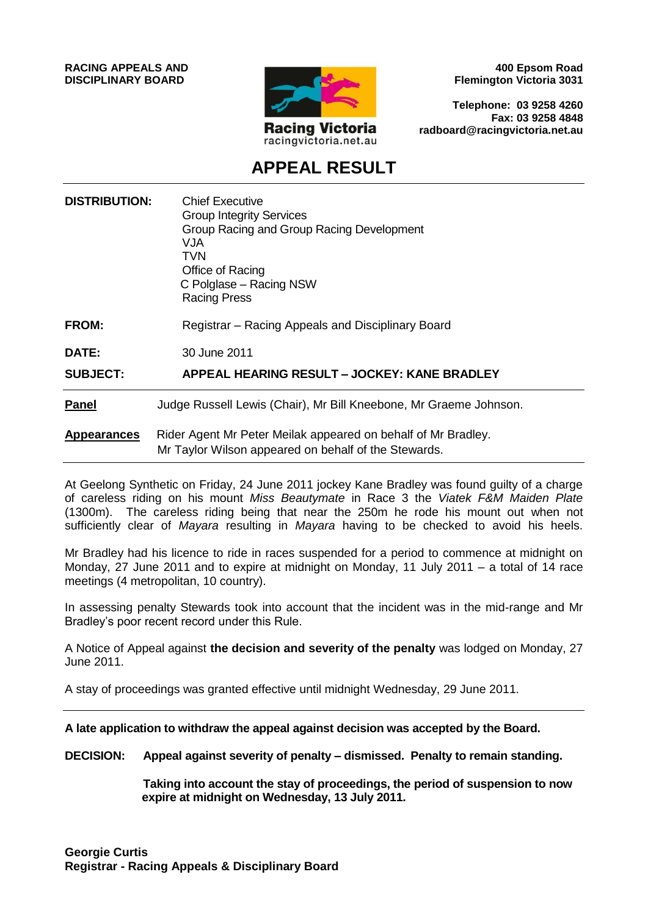#### **RACING APPEALS AND DISCIPLINARY BOARD**



**400 Epsom Road Flemington Victoria 3031**

**Telephone: 03 9258 4260 Fax: 03 9258 4848 radboard@racingvictoria.net.au**

## **APPEAL RESULT**

| <b>DISTRIBUTION:</b> | <b>Chief Executive</b><br><b>Group Integrity Services</b><br>Group Racing and Group Racing Development<br>VJA<br><b>TVN</b><br>Office of Racing<br>C Polglase - Racing NSW<br><b>Racing Press</b> |
|----------------------|---------------------------------------------------------------------------------------------------------------------------------------------------------------------------------------------------|
| <b>FROM:</b>         | Registrar – Racing Appeals and Disciplinary Board                                                                                                                                                 |
| <b>DATE:</b>         | 30 June 2011                                                                                                                                                                                      |
| <b>SUBJECT:</b>      | APPEAL HEARING RESULT - JOCKEY: KANE BRADLEY                                                                                                                                                      |
| <b>Panel</b>         | Judge Russell Lewis (Chair), Mr Bill Kneebone, Mr Graeme Johnson.                                                                                                                                 |
| <b>Appearances</b>   | Rider Agent Mr Peter Meilak appeared on behalf of Mr Bradley.<br>Mr Taylor Wilson appeared on behalf of the Stewards.                                                                             |

At Geelong Synthetic on Friday, 24 June 2011 jockey Kane Bradley was found guilty of a charge of careless riding on his mount *Miss Beautymate* in Race 3 the *Viatek F&M Maiden Plate* (1300m). The careless riding being that near the 250m he rode his mount out when not sufficiently clear of *Mayara* resulting in *Mayara* having to be checked to avoid his heels.

Mr Bradley had his licence to ride in races suspended for a period to commence at midnight on Monday, 27 June 2011 and to expire at midnight on Monday, 11 July 2011 – a total of 14 race meetings (4 metropolitan, 10 country).

In assessing penalty Stewards took into account that the incident was in the mid-range and Mr Bradley's poor recent record under this Rule.

A Notice of Appeal against **the decision and severity of the penalty** was lodged on Monday, 27 June 2011.

A stay of proceedings was granted effective until midnight Wednesday, 29 June 2011.

**A late application to withdraw the appeal against decision was accepted by the Board.**

**DECISION: Appeal against severity of penalty – dismissed. Penalty to remain standing.**

**Taking into account the stay of proceedings, the period of suspension to now expire at midnight on Wednesday, 13 July 2011.**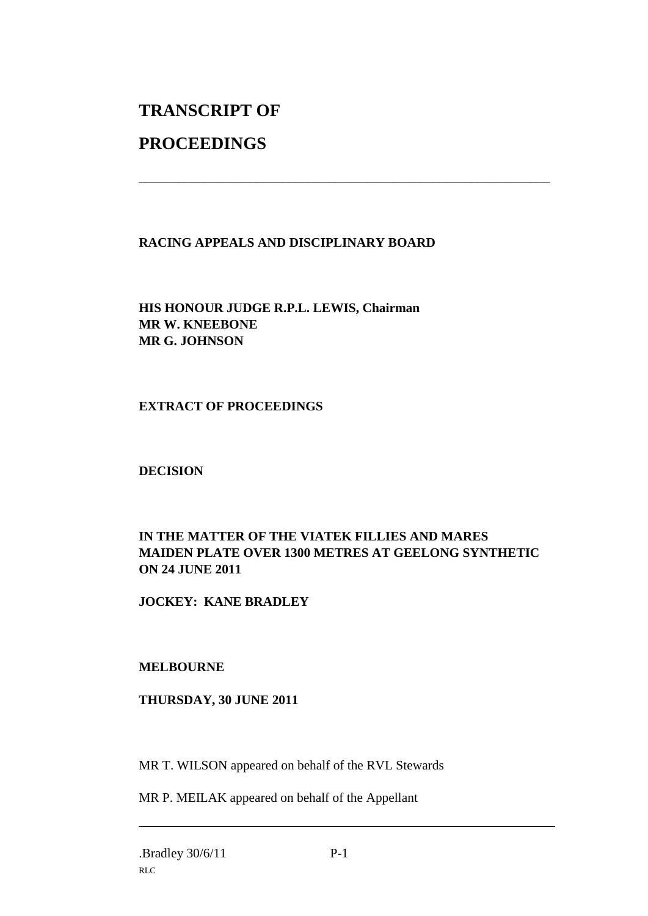# **TRANSCRIPT OF**

## **PROCEEDINGS**

### **RACING APPEALS AND DISCIPLINARY BOARD**

\_\_\_\_\_\_\_\_\_\_\_\_\_\_\_\_\_\_\_\_\_\_\_\_\_\_\_\_\_\_\_\_\_\_\_\_\_\_\_\_\_\_\_\_\_\_\_\_\_\_\_\_\_\_\_\_\_\_\_\_\_\_\_

**HIS HONOUR JUDGE R.P.L. LEWIS, Chairman MR W. KNEEBONE MR G. JOHNSON**

#### **EXTRACT OF PROCEEDINGS**

**DECISION**

### **IN THE MATTER OF THE VIATEK FILLIES AND MARES MAIDEN PLATE OVER 1300 METRES AT GEELONG SYNTHETIC ON 24 JUNE 2011**

**JOCKEY: KANE BRADLEY**

### **MELBOURNE**

#### **THURSDAY, 30 JUNE 2011**

MR T. WILSON appeared on behalf of the RVL Stewards

MR P. MEILAK appeared on behalf of the Appellant